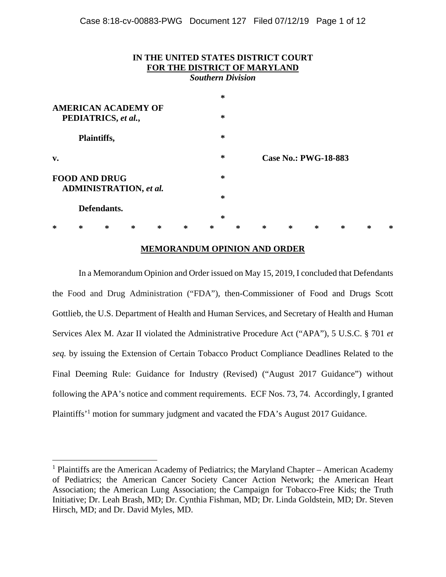| IN THE UNITED STATES DISTRICT COURT<br>FOR THE DISTRICT OF MARYLAND<br><b>Southern Division</b> |             |   |                            |   |                                       |        |   |   |        |   |   |   |   |
|-------------------------------------------------------------------------------------------------|-------------|---|----------------------------|---|---------------------------------------|--------|---|---|--------|---|---|---|---|
|                                                                                                 |             |   |                            |   |                                       | ∗      |   |   |        |   |   |   |   |
|                                                                                                 |             |   | <b>AMERICAN ACADEMY OF</b> |   |                                       |        |   |   |        |   |   |   |   |
| PEDIATRICS, et al.,                                                                             |             |   |                            |   |                                       | $\ast$ |   |   |        |   |   |   |   |
|                                                                                                 | Plaintiffs, |   |                            |   |                                       | $\ast$ |   |   |        |   |   |   |   |
| $\mathbf{v}$ .                                                                                  |             |   |                            |   | $\ast$<br><b>Case No.: PWG-18-883</b> |        |   |   |        |   |   |   |   |
| <b>FOOD AND DRUG</b><br><b>ADMINISTRATION, et al.</b>                                           |             |   |                            |   |                                       | $\ast$ |   |   |        |   |   |   |   |
|                                                                                                 |             |   |                            |   |                                       | $\ast$ |   |   |        |   |   |   |   |
|                                                                                                 | Defendants. |   |                            |   |                                       |        |   |   |        |   |   |   |   |
|                                                                                                 |             |   |                            |   |                                       | $\ast$ |   |   |        |   |   |   |   |
|                                                                                                 | ∗           | ∗ | ∗                          | ∗ | $\ast$                                | ∗      | ∗ | ∗ | $\ast$ | ∗ | ∗ | ∗ | ∗ |

## **MEMORANDUM OPINION AND ORDER**

In a Memorandum Opinion and Order issued on May 15, 2019, I concluded that Defendants the Food and Drug Administration ("FDA"), then-Commissioner of Food and Drugs Scott Gottlieb, the U.S. Department of Health and Human Services, and Secretary of Health and Human Services Alex M. Azar II violated the Administrative Procedure Act ("APA"), 5 U.S.C. § 701 *et seq.* by issuing the Extension of Certain Tobacco Product Compliance Deadlines Related to the Final Deeming Rule: Guidance for Industry (Revised) ("August 2017 Guidance") without following the APA's notice and comment requirements. ECF Nos. 73, 74. Accordingly, I granted Plaintiffs<sup>'1</sup> motion for summary judgment and vacated the FDA's August 2017 Guidance.

1

<sup>&</sup>lt;sup>1</sup> Plaintiffs are the American Academy of Pediatrics; the Maryland Chapter – American Academy of Pediatrics; the American Cancer Society Cancer Action Network; the American Heart Association; the American Lung Association; the Campaign for Tobacco-Free Kids; the Truth Initiative; Dr. Leah Brash, MD; Dr. Cynthia Fishman, MD; Dr. Linda Goldstein, MD; Dr. Steven Hirsch, MD; and Dr. David Myles, MD.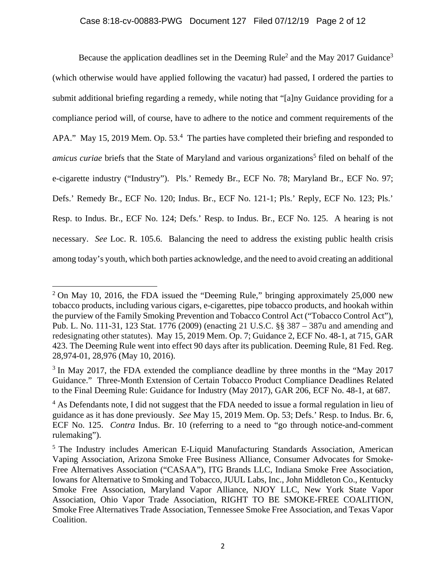Because the application deadlines set in the Deeming Rule<sup>2</sup> and the May 2017 Guidance<sup>3</sup> (which otherwise would have applied following the vacatur) had passed, I ordered the parties to submit additional briefing regarding a remedy, while noting that "[a]ny Guidance providing for a compliance period will, of course, have to adhere to the notice and comment requirements of the APA." May 15, 2019 Mem. Op.  $53.^4$  The parties have completed their briefing and responded to amicus curiae briefs that the State of Maryland and various organizations<sup>5</sup> filed on behalf of the e-cigarette industry ("Industry"). Pls.' Remedy Br., ECF No. 78; Maryland Br., ECF No. 97; Defs.' Remedy Br., ECF No. 120; Indus. Br., ECF No. 121-1; Pls.' Reply, ECF No. 123; Pls.' Resp. to Indus. Br., ECF No. 124; Defs.' Resp. to Indus. Br., ECF No. 125. A hearing is not necessary. *See* Loc. R. 105.6. Balancing the need to address the existing public health crisis among today's youth, which both parties acknowledge, and the need to avoid creating an additional

 $\overline{a}$ 

<sup>&</sup>lt;sup>2</sup> On May 10, 2016, the FDA issued the "Deeming Rule," bringing approximately 25,000 new tobacco products, including various cigars, e-cigarettes, pipe tobacco products, and hookah within the purview of the Family Smoking Prevention and Tobacco Control Act ("Tobacco Control Act"), Pub. L. No. 111-31, 123 Stat. 1776 (2009) (enacting 21 U.S.C. §§ 387 – 387u and amending and redesignating other statutes). May 15, 2019 Mem. Op. 7; Guidance 2, ECF No. 48-1, at 715, GAR 423. The Deeming Rule went into effect 90 days after its publication. Deeming Rule, 81 Fed. Reg. 28,974-01, 28,976 (May 10, 2016).

 $3$  In May 2017, the FDA extended the compliance deadline by three months in the "May 2017 Guidance." Three-Month Extension of Certain Tobacco Product Compliance Deadlines Related to the Final Deeming Rule: Guidance for Industry (May 2017), GAR 206, ECF No. 48-1, at 687.

<sup>&</sup>lt;sup>4</sup> As Defendants note, I did not suggest that the FDA needed to issue a formal regulation in lieu of guidance as it has done previously. *See* May 15, 2019 Mem. Op. 53; Defs.' Resp. to Indus. Br. 6, ECF No. 125. *Contra* Indus. Br. 10 (referring to a need to "go through notice-and-comment rulemaking").

<sup>&</sup>lt;sup>5</sup> The Industry includes American E-Liquid Manufacturing Standards Association, American Vaping Association, Arizona Smoke Free Business Alliance, Consumer Advocates for Smoke-Free Alternatives Association ("CASAA"), ITG Brands LLC, Indiana Smoke Free Association, Iowans for Alternative to Smoking and Tobacco, JUUL Labs, Inc., John Middleton Co., Kentucky Smoke Free Association, Maryland Vapor Alliance, NJOY LLC, New York State Vapor Association, Ohio Vapor Trade Association, RIGHT TO BE SMOKE-FREE COALITION, Smoke Free Alternatives Trade Association, Tennessee Smoke Free Association, and Texas Vapor Coalition.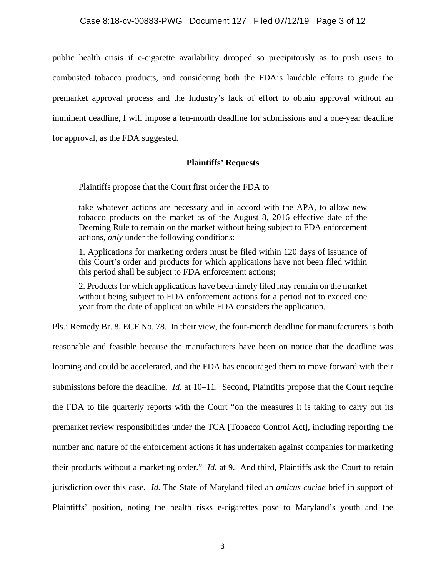public health crisis if e-cigarette availability dropped so precipitously as to push users to combusted tobacco products, and considering both the FDA's laudable efforts to guide the premarket approval process and the Industry's lack of effort to obtain approval without an imminent deadline, I will impose a ten-month deadline for submissions and a one-year deadline for approval, as the FDA suggested.

## **Plaintiffs' Requests**

Plaintiffs propose that the Court first order the FDA to

take whatever actions are necessary and in accord with the APA, to allow new tobacco products on the market as of the August 8, 2016 effective date of the Deeming Rule to remain on the market without being subject to FDA enforcement actions, *only* under the following conditions:

1. Applications for marketing orders must be filed within 120 days of issuance of this Court's order and products for which applications have not been filed within this period shall be subject to FDA enforcement actions;

2. Products for which applications have been timely filed may remain on the market without being subject to FDA enforcement actions for a period not to exceed one year from the date of application while FDA considers the application.

Pls.' Remedy Br. 8, ECF No. 78. In their view, the four-month deadline for manufacturers is both reasonable and feasible because the manufacturers have been on notice that the deadline was looming and could be accelerated, and the FDA has encouraged them to move forward with their submissions before the deadline. *Id.* at 10–11. Second, Plaintiffs propose that the Court require the FDA to file quarterly reports with the Court "on the measures it is taking to carry out its premarket review responsibilities under the TCA [Tobacco Control Act], including reporting the number and nature of the enforcement actions it has undertaken against companies for marketing their products without a marketing order." *Id.* at 9. And third, Plaintiffs ask the Court to retain jurisdiction over this case. *Id.* The State of Maryland filed an *amicus curiae* brief in support of Plaintiffs' position, noting the health risks e-cigarettes pose to Maryland's youth and the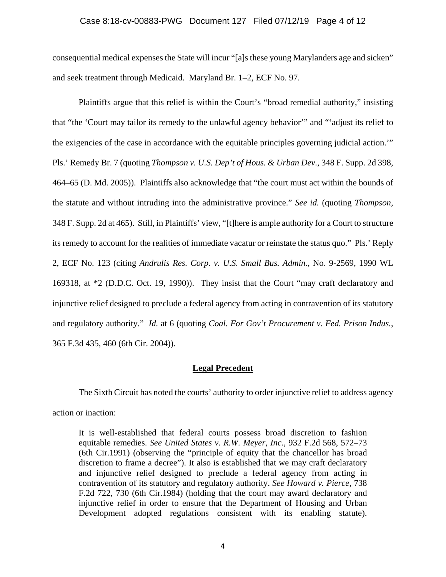## Case 8:18-cv-00883-PWG Document 127 Filed 07/12/19 Page 4 of 12

consequential medical expenses the State will incur "[a]s these young Marylanders age and sicken" and seek treatment through Medicaid. Maryland Br. 1–2, ECF No. 97.

Plaintiffs argue that this relief is within the Court's "broad remedial authority," insisting that "the 'Court may tailor its remedy to the unlawful agency behavior'" and "'adjust its relief to the exigencies of the case in accordance with the equitable principles governing judicial action.'" Pls.' Remedy Br. 7 (quoting *Thompson v. U.S. Dep't of Hous. & Urban Dev.*, 348 F. Supp. 2d 398, 464–65 (D. Md. 2005)). Plaintiffs also acknowledge that "the court must act within the bounds of the statute and without intruding into the administrative province." *See id.* (quoting *Thompson*, 348 F. Supp. 2d at 465). Still, in Plaintiffs' view, "[t]here is ample authority for a Court to structure its remedy to account for the realities of immediate vacatur or reinstate the status quo." Pls.' Reply 2, ECF No. 123 (citing *Andrulis Res. Corp. v. U.S. Small Bus. Admin*., No. 9-2569, 1990 WL 169318, at \*2 (D.D.C. Oct. 19, 1990)). They insist that the Court "may craft declaratory and injunctive relief designed to preclude a federal agency from acting in contravention of its statutory and regulatory authority." *Id.* at 6 (quoting *Coal. For Gov't Procurement v. Fed. Prison Indus.*, 365 F.3d 435, 460 (6th Cir. 2004)).

## **Legal Precedent**

The Sixth Circuit has noted the courts' authority to order injunctive relief to address agency action or inaction:

It is well-established that federal courts possess broad discretion to fashion equitable remedies. *See United States v. R.W. Meyer, Inc.,* 932 F.2d 568, 572–73 (6th Cir.1991) (observing the "principle of equity that the chancellor has broad discretion to frame a decree"). It also is established that we may craft declaratory and injunctive relief designed to preclude a federal agency from acting in contravention of its statutory and regulatory authority. *See Howard v. Pierce,* 738 F.2d 722, 730 (6th Cir.1984) (holding that the court may award declaratory and injunctive relief in order to ensure that the Department of Housing and Urban Development adopted regulations consistent with its enabling statute).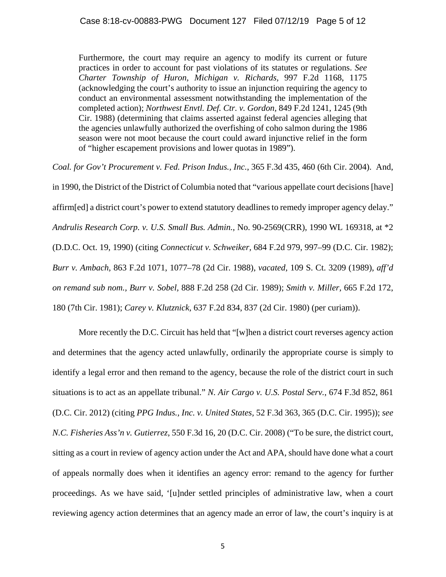Furthermore, the court may require an agency to modify its current or future practices in order to account for past violations of its statutes or regulations. *See Charter Township of Huron, Michigan v. Richards,* 997 F.2d 1168, 1175 (acknowledging the court's authority to issue an injunction requiring the agency to conduct an environmental assessment notwithstanding the implementation of the completed action); *Northwest Envtl. Def. Ctr. v. Gordon,* 849 F.2d 1241, 1245 (9th Cir. 1988) (determining that claims asserted against federal agencies alleging that the agencies unlawfully authorized the overfishing of coho salmon during the 1986 season were not moot because the court could award injunctive relief in the form of "higher escapement provisions and lower quotas in 1989").

*Coal. for Gov't Procurement v. Fed. Prison Indus., Inc.*, 365 F.3d 435, 460 (6th Cir. 2004). And,

in 1990, the District of the District of Columbia noted that "various appellate court decisions [have] affirm[ed] a district court's power to extend statutory deadlines to remedy improper agency delay." *Andrulis Research Corp. v. U.S. Small Bus. Admin.*, No. 90-2569(CRR), 1990 WL 169318, at \*2 (D.D.C. Oct. 19, 1990) (citing *Connecticut v. Schweiker,* 684 F.2d 979, 997–99 (D.C. Cir. 1982); *Burr v. Ambach,* 863 F.2d 1071, 1077–78 (2d Cir. 1988), *vacated,* 109 S. Ct. 3209 (1989), *aff'd on remand sub nom., Burr v. Sobel,* 888 F.2d 258 (2d Cir. 1989); *Smith v. Miller,* 665 F.2d 172, 180 (7th Cir. 1981); *Carey v. Klutznick,* 637 F.2d 834, 837 (2d Cir. 1980) (per curiam)).

More recently the D.C. Circuit has held that "[w]hen a district court reverses agency action and determines that the agency acted unlawfully, ordinarily the appropriate course is simply to identify a legal error and then remand to the agency, because the role of the district court in such situations is to act as an appellate tribunal." *N. Air Cargo v. U.S. Postal Serv.*, 674 F.3d 852, 861 (D.C. Cir. 2012) (citing *PPG Indus., Inc. v. United States,* 52 F.3d 363, 365 (D.C. Cir. 1995)); *see N.C. Fisheries Ass'n v. Gutierrez*, 550 F.3d 16, 20 (D.C. Cir. 2008) ("To be sure, the district court, sitting as a court in review of agency action under the Act and APA, should have done what a court of appeals normally does when it identifies an agency error: remand to the agency for further proceedings. As we have said, '[u]nder settled principles of administrative law, when a court reviewing agency action determines that an agency made an error of law, the court's inquiry is at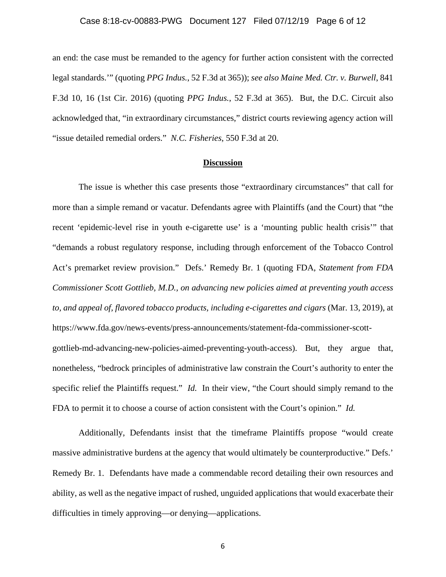## Case 8:18-cv-00883-PWG Document 127 Filed 07/12/19 Page 6 of 12

an end: the case must be remanded to the agency for further action consistent with the corrected legal standards.'" (quoting *PPG Indus.*, 52 F.3d at 365)); *see also Maine Med. Ctr. v. Burwell*, 841 F.3d 10, 16 (1st Cir. 2016) (quoting *PPG Indus.*, 52 F.3d at 365). But, the D.C. Circuit also acknowledged that, "in extraordinary circumstances," district courts reviewing agency action will "issue detailed remedial orders." *N.C. Fisheries*, 550 F.3d at 20.

#### **Discussion**

The issue is whether this case presents those "extraordinary circumstances" that call for more than a simple remand or vacatur. Defendants agree with Plaintiffs (and the Court) that "the recent 'epidemic-level rise in youth e-cigarette use' is a 'mounting public health crisis'" that "demands a robust regulatory response, including through enforcement of the Tobacco Control Act's premarket review provision." Defs.' Remedy Br. 1 (quoting FDA, *Statement from FDA Commissioner Scott Gottlieb, M.D., on advancing new policies aimed at preventing youth access to, and appeal of, flavored tobacco products, including e-cigarettes and cigars* (Mar. 13, 2019), at https://www.fda.gov/news-events/press-announcements/statement-fda-commissioner-scottgottlieb-md-advancing-new-policies-aimed-preventing-youth-access). But, they argue that, nonetheless, "bedrock principles of administrative law constrain the Court's authority to enter the specific relief the Plaintiffs request." *Id.* In their view, "the Court should simply remand to the FDA to permit it to choose a course of action consistent with the Court's opinion." *Id.*

Additionally, Defendants insist that the timeframe Plaintiffs propose "would create massive administrative burdens at the agency that would ultimately be counterproductive." Defs.' Remedy Br. 1. Defendants have made a commendable record detailing their own resources and ability, as well as the negative impact of rushed, unguided applications that would exacerbate their difficulties in timely approving—or denying—applications.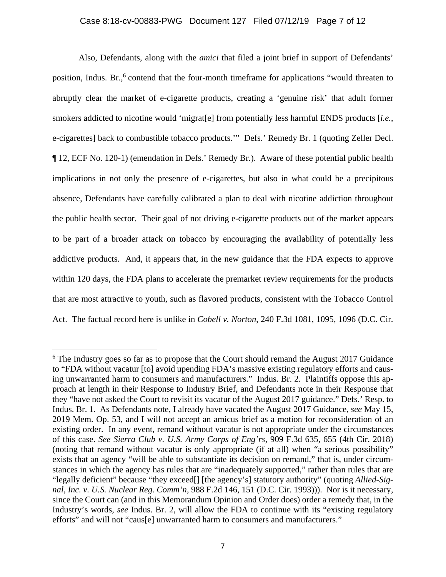# Case 8:18-cv-00883-PWG Document 127 Filed 07/12/19 Page 7 of 12

Also, Defendants, along with the *amici* that filed a joint brief in support of Defendants' position, Indus. Br.,<sup>6</sup> contend that the four-month timeframe for applications "would threaten to abruptly clear the market of e-cigarette products, creating a 'genuine risk' that adult former smokers addicted to nicotine would 'migrat[e] from potentially less harmful ENDS products [*i.e.*, e-cigarettes] back to combustible tobacco products.'" Defs.' Remedy Br. 1 (quoting Zeller Decl. ¶ 12, ECF No. 120-1) (emendation in Defs.' Remedy Br.). Aware of these potential public health implications in not only the presence of e-cigarettes, but also in what could be a precipitous absence, Defendants have carefully calibrated a plan to deal with nicotine addiction throughout the public health sector. Their goal of not driving e-cigarette products out of the market appears to be part of a broader attack on tobacco by encouraging the availability of potentially less addictive products. And, it appears that, in the new guidance that the FDA expects to approve within 120 days, the FDA plans to accelerate the premarket review requirements for the products that are most attractive to youth, such as flavored products, consistent with the Tobacco Control Act. The factual record here is unlike in *Cobell v. Norton*, 240 F.3d 1081, 1095, 1096 (D.C. Cir.

 $\overline{a}$ 

<sup>&</sup>lt;sup>6</sup> The Industry goes so far as to propose that the Court should remand the August 2017 Guidance to "FDA without vacatur [to] avoid upending FDA's massive existing regulatory efforts and causing unwarranted harm to consumers and manufacturers." Indus. Br. 2. Plaintiffs oppose this approach at length in their Response to Industry Brief, and Defendants note in their Response that they "have not asked the Court to revisit its vacatur of the August 2017 guidance." Defs.' Resp. to Indus. Br. 1. As Defendants note, I already have vacated the August 2017 Guidance, *see* May 15, 2019 Mem. Op. 53, and I will not accept an amicus brief as a motion for reconsideration of an existing order. In any event, remand without vacatur is not appropriate under the circumstances of this case. *See Sierra Club v. U.S. Army Corps of Eng'rs*, 909 F.3d 635, 655 (4th Cir. 2018) (noting that remand without vacatur is only appropriate (if at all) when "a serious possibility" exists that an agency "will be able to substantiate its decision on remand," that is, under circumstances in which the agency has rules that are "inadequately supported," rather than rules that are "legally deficient" because "they exceed[] [the agency's] statutory authority" (quoting *Allied-Signal, Inc. v. U.S. Nuclear Reg. Comm'n*, 988 F.2d 146, 151 (D.C. Cir. 1993))). Nor is it necessary, since the Court can (and in this Memorandum Opinion and Order does) order a remedy that, in the Industry's words, *see* Indus. Br. 2, will allow the FDA to continue with its "existing regulatory efforts" and will not "caus[e] unwarranted harm to consumers and manufacturers."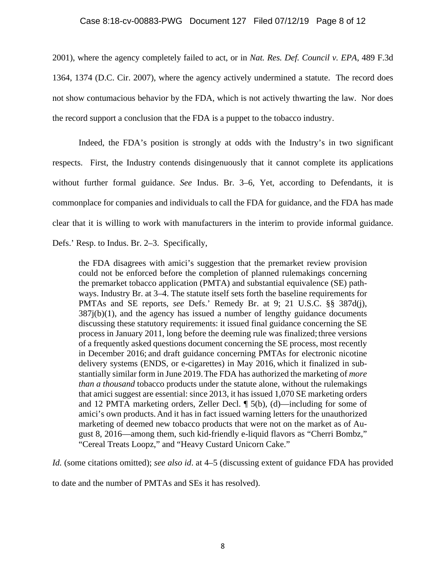## Case 8:18-cv-00883-PWG Document 127 Filed 07/12/19 Page 8 of 12

2001), where the agency completely failed to act, or in *Nat. Res. Def. Council v. EPA*, 489 F.3d 1364, 1374 (D.C. Cir. 2007), where the agency actively undermined a statute. The record does not show contumacious behavior by the FDA, which is not actively thwarting the law. Nor does the record support a conclusion that the FDA is a puppet to the tobacco industry.

Indeed, the FDA's position is strongly at odds with the Industry's in two significant respects. First, the Industry contends disingenuously that it cannot complete its applications without further formal guidance. *See* Indus. Br. 3–6, Yet, according to Defendants, it is commonplace for companies and individuals to call the FDA for guidance, and the FDA has made clear that it is willing to work with manufacturers in the interim to provide informal guidance. Defs.' Resp. to Indus. Br. 2–3. Specifically,

the FDA disagrees with amici's suggestion that the premarket review provision could not be enforced before the completion of planned rulemakings concerning the premarket tobacco application (PMTA) and substantial equivalence (SE) pathways. Industry Br. at 3–4. The statute itself sets forth the baseline requirements for PMTAs and SE reports, *see* Defs.' Remedy Br. at 9; 21 U.S.C. §§ 387d(j),  $387j(b)(1)$ , and the agency has issued a number of lengthy guidance documents discussing these statutory requirements: it issued final guidance concerning the SE process in January 2011, long before the deeming rule was finalized; three versions of a frequently asked questions document concerning the SE process, most recently in December 2016; and draft guidance concerning PMTAs for electronic nicotine delivery systems (ENDS, or e-cigarettes) in May 2016, which it finalized in substantially similar form in June 2019.The FDA has authorized the marketing of *more than a thousand* tobacco products under the statute alone, without the rulemakings that amici suggest are essential: since 2013, it has issued 1,070 SE marketing orders and 12 PMTA marketing orders, Zeller Decl. ¶ 5(b), (d)—including for some of amici's own products.And it has in fact issued warning letters for the unauthorized marketing of deemed new tobacco products that were not on the market as of August 8, 2016—among them, such kid-friendly e-liquid flavors as "Cherri Bombz," "Cereal Treats Loopz," and "Heavy Custard Unicorn Cake."

*Id.* (some citations omitted); *see also id*. at 4–5 (discussing extent of guidance FDA has provided

to date and the number of PMTAs and SEs it has resolved).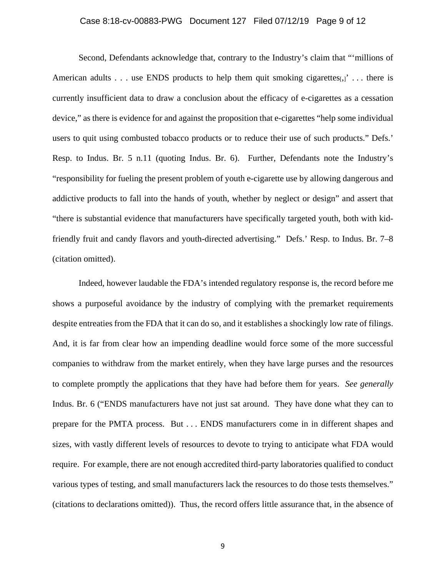## Case 8:18-cv-00883-PWG Document 127 Filed 07/12/19 Page 9 of 12

Second, Defendants acknowledge that, contrary to the Industry's claim that "'millions of American adults . . . use ENDS products to help them quit smoking cigarettes $_{1,1}$ <sup>'</sup> . . . there is currently insufficient data to draw a conclusion about the efficacy of e-cigarettes as a cessation device," as there is evidence for and against the proposition that e-cigarettes "help some individual users to quit using combusted tobacco products or to reduce their use of such products." Defs.' Resp. to Indus. Br. 5 n.11 (quoting Indus. Br. 6). Further, Defendants note the Industry's "responsibility for fueling the present problem of youth e-cigarette use by allowing dangerous and addictive products to fall into the hands of youth, whether by neglect or design" and assert that "there is substantial evidence that manufacturers have specifically targeted youth, both with kidfriendly fruit and candy flavors and youth-directed advertising." Defs.' Resp. to Indus. Br. 7–8 (citation omitted).

Indeed, however laudable the FDA's intended regulatory response is, the record before me shows a purposeful avoidance by the industry of complying with the premarket requirements despite entreaties from the FDA that it can do so, and it establishes a shockingly low rate of filings. And, it is far from clear how an impending deadline would force some of the more successful companies to withdraw from the market entirely, when they have large purses and the resources to complete promptly the applications that they have had before them for years. *See generally*  Indus. Br. 6 ("ENDS manufacturers have not just sat around. They have done what they can to prepare for the PMTA process. But . . . ENDS manufacturers come in in different shapes and sizes, with vastly different levels of resources to devote to trying to anticipate what FDA would require. For example, there are not enough accredited third-party laboratories qualified to conduct various types of testing, and small manufacturers lack the resources to do those tests themselves." (citations to declarations omitted)). Thus, the record offers little assurance that, in the absence of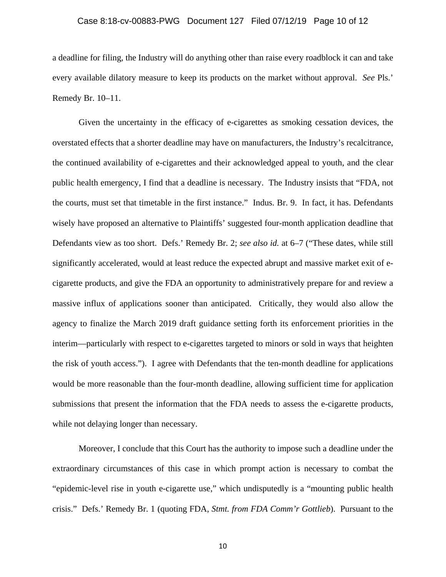## Case 8:18-cv-00883-PWG Document 127 Filed 07/12/19 Page 10 of 12

a deadline for filing, the Industry will do anything other than raise every roadblock it can and take every available dilatory measure to keep its products on the market without approval. *See* Pls.' Remedy Br. 10–11.

Given the uncertainty in the efficacy of e-cigarettes as smoking cessation devices, the overstated effects that a shorter deadline may have on manufacturers, the Industry's recalcitrance, the continued availability of e-cigarettes and their acknowledged appeal to youth, and the clear public health emergency, I find that a deadline is necessary. The Industry insists that "FDA, not the courts, must set that timetable in the first instance." Indus. Br. 9. In fact, it has. Defendants wisely have proposed an alternative to Plaintiffs' suggested four-month application deadline that Defendants view as too short. Defs.' Remedy Br. 2; *see also id.* at 6–7 ("These dates, while still significantly accelerated, would at least reduce the expected abrupt and massive market exit of ecigarette products, and give the FDA an opportunity to administratively prepare for and review a massive influx of applications sooner than anticipated. Critically, they would also allow the agency to finalize the March 2019 draft guidance setting forth its enforcement priorities in the interim—particularly with respect to e-cigarettes targeted to minors or sold in ways that heighten the risk of youth access."). I agree with Defendants that the ten-month deadline for applications would be more reasonable than the four-month deadline, allowing sufficient time for application submissions that present the information that the FDA needs to assess the e-cigarette products, while not delaying longer than necessary.

Moreover, I conclude that this Court has the authority to impose such a deadline under the extraordinary circumstances of this case in which prompt action is necessary to combat the "epidemic-level rise in youth e-cigarette use," which undisputedly is a "mounting public health crisis." Defs.' Remedy Br. 1 (quoting FDA, *Stmt. from FDA Comm'r Gottlieb*).Pursuant to the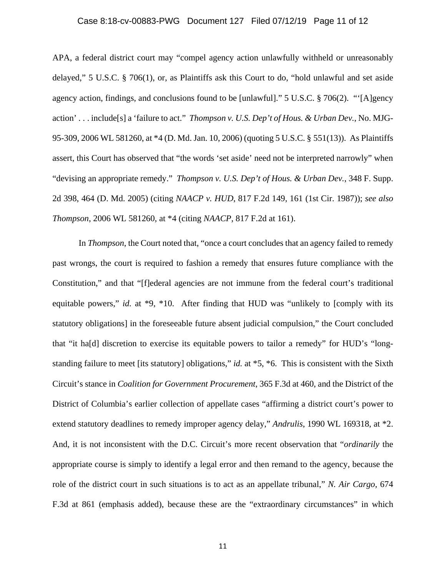## Case 8:18-cv-00883-PWG Document 127 Filed 07/12/19 Page 11 of 12

APA, a federal district court may "compel agency action unlawfully withheld or unreasonably delayed," 5 U.S.C. § 706(1), or, as Plaintiffs ask this Court to do, "hold unlawful and set aside agency action, findings, and conclusions found to be [unlawful]." 5 U.S.C. § 706(2). "'[A]gency action' . . . include[s] a 'failure to act." *Thompson v. U.S. Dep't of Hous. & Urban Dev.*, No. MJG-95-309, 2006 WL 581260, at \*4 (D. Md. Jan. 10, 2006) (quoting 5 U.S.C. § 551(13)). As Plaintiffs assert, this Court has observed that "the words 'set aside' need not be interpreted narrowly" when "devising an appropriate remedy." *Thompson v. U.S. Dep't of Hous. & Urban Dev.*, 348 F. Supp. 2d 398, 464 (D. Md. 2005) (citing *NAACP v. HUD*, 817 F.2d 149, 161 (1st Cir. 1987)); *see also Thompson*, 2006 WL 581260, at \*4 (citing *NAACP*, 817 F.2d at 161).

In *Thompson*, the Court noted that, "once a court concludes that an agency failed to remedy past wrongs, the court is required to fashion a remedy that ensures future compliance with the Constitution," and that "[f]ederal agencies are not immune from the federal court's traditional equitable powers," *id.* at \*9, \*10. After finding that HUD was "unlikely to [comply with its statutory obligations] in the foreseeable future absent judicial compulsion," the Court concluded that "it ha[d] discretion to exercise its equitable powers to tailor a remedy" for HUD's "longstanding failure to meet [its statutory] obligations," *id.* at \*5, \*6. This is consistent with the Sixth Circuit's stance in *Coalition for Government Procurement*, 365 F.3d at 460, and the District of the District of Columbia's earlier collection of appellate cases "affirming a district court's power to extend statutory deadlines to remedy improper agency delay," *Andrulis*, 1990 WL 169318, at \*2. And, it is not inconsistent with the D.C. Circuit's more recent observation that "*ordinarily* the appropriate course is simply to identify a legal error and then remand to the agency, because the role of the district court in such situations is to act as an appellate tribunal," *N. Air Cargo*, 674 F.3d at 861 (emphasis added), because these are the "extraordinary circumstances" in which